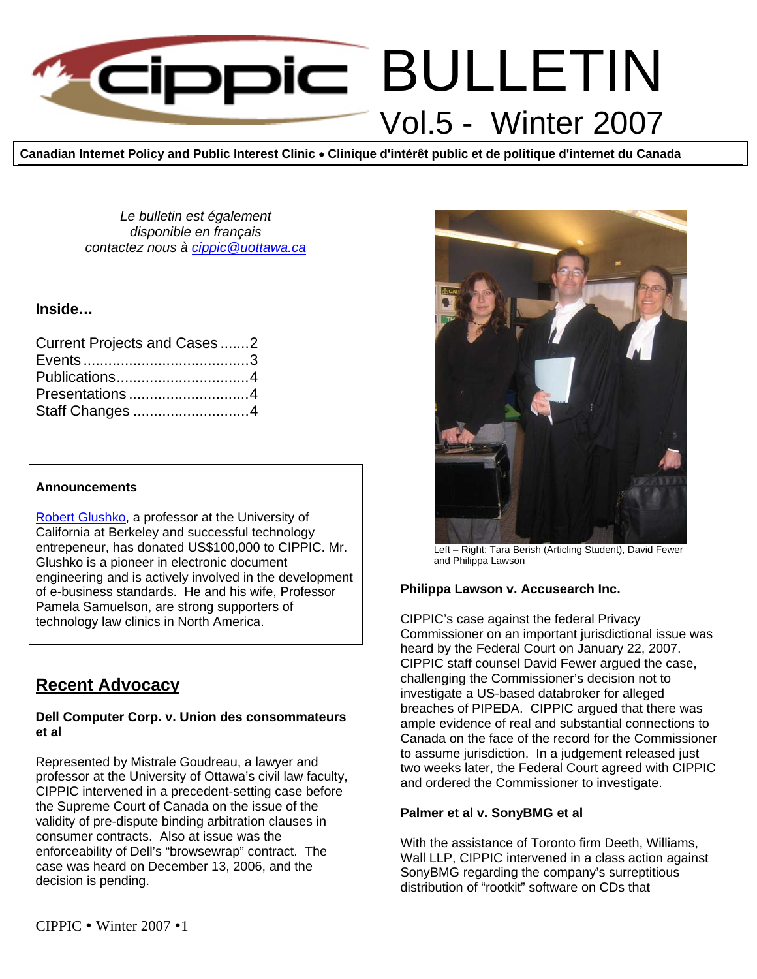

**Canadian Internet Policy and Public Interest Clinic** • **Clinique d'intérêt public et de politique d'internet du Canada**

*Le bulletin est également disponible en français contactez nous à [cippic@uottawa.ca](mailto:cippic@uottawa.ca)*

## **Inside…**

| Current Projects and Cases2 |  |
|-----------------------------|--|
|                             |  |
|                             |  |
|                             |  |
|                             |  |

#### **Announcements**

[Robert Glushko,](http://www.ischool.berkeley.edu/~glushko/) a professor at the University of California at Berkeley and successful technology entrepeneur, has donated US\$100,000 to CIPPIC. Mr. Glushko is a pioneer in electronic document engineering and is actively involved in the development of e-business standards. He and his wife, Professor Pamela Samuelson, are strong supporters of technology law clinics in North America.

# **Recent Advocacy**

#### **Dell Computer Corp. v. Union des consommateurs et al**

Represented by Mistrale Goudreau, a lawyer and professor at the University of Ottawa's civil law faculty, CIPPIC intervened in a precedent-setting case before the Supreme Court of Canada on the issue of the validity of pre-dispute binding arbitration clauses in consumer contracts. Also at issue was the enforceability of Dell's "browsewrap" contract. The case was heard on December 13, 2006, and the decision is pending.



Left – Right: Tara Berish (Articling Student), David Fewer and Philippa Lawson

#### **Philippa Lawson v. Accusearch Inc.**

CIPPIC's case against the federal Privacy Commissioner on an important jurisdictional issue was heard by the Federal Court on January 22, 2007. CIPPIC staff counsel David Fewer argued the case, challenging the Commissioner's decision not to investigate a US-based databroker for alleged breaches of PIPEDA. CIPPIC argued that there was ample evidence of real and substantial connections to Canada on the face of the record for the Commissioner to assume jurisdiction. In a judgement released just two weeks later, the Federal Court agreed with CIPPIC and ordered the Commissioner to investigate.

#### **Palmer et al v. SonyBMG et al**

With the assistance of Toronto firm Deeth, Williams, Wall LLP, CIPPIC intervened in a class action against SonyBMG regarding the company's surreptitious distribution of "rootkit" software on CDs that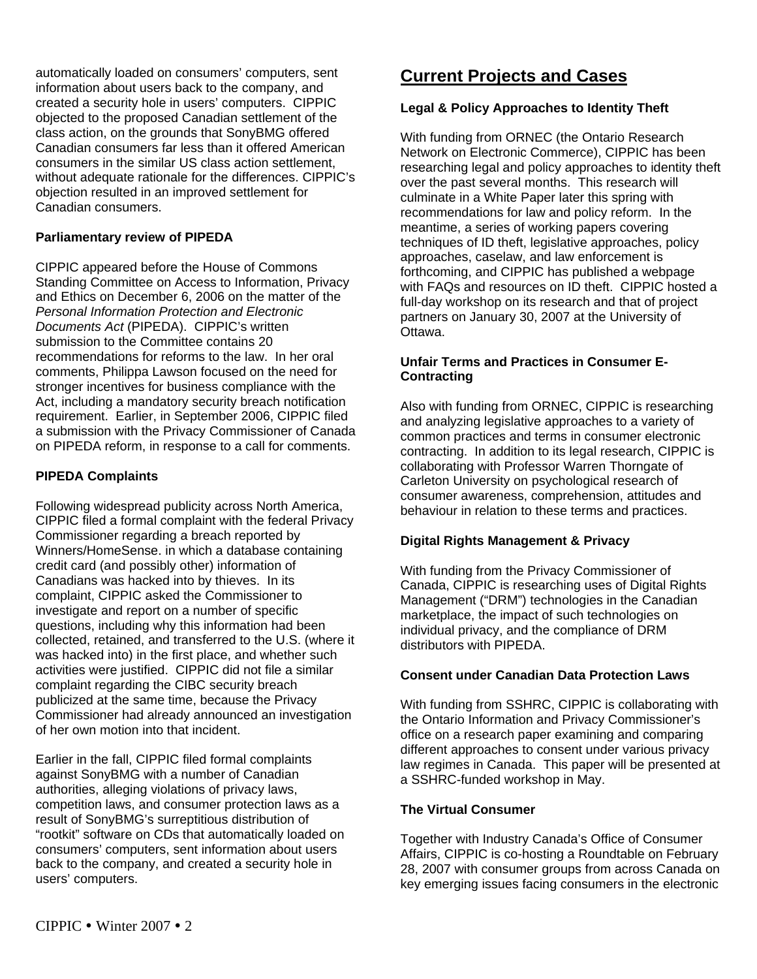automatically loaded on consumers' computers, sent information about users back to the company, and created a security hole in users' computers. CIPPIC objected to the proposed Canadian settlement of the class action, on the grounds that SonyBMG offered Canadian consumers far less than it offered American consumers in the similar US class action settlement, without adequate rationale for the differences. CIPPIC's objection resulted in an improved settlement for Canadian consumers.

## **Parliamentary review of PIPEDA**

CIPPIC appeared before the House of Commons Standing Committee on Access to Information, Privacy and Ethics on December 6, 2006 on the matter of the *Personal Information Protection and Electronic Documents Act* (PIPEDA). CIPPIC's written submission to the Committee contains 20 recommendations for reforms to the law. In her oral comments, Philippa Lawson focused on the need for stronger incentives for business compliance with the Act, including a mandatory security breach notification requirement. Earlier, in September 2006, CIPPIC filed a submission with the Privacy Commissioner of Canada on PIPEDA reform, in response to a call for comments.

## **PIPEDA Complaints**

Following widespread publicity across North America, CIPPIC filed a formal complaint with the federal Privacy Commissioner regarding a breach reported by Winners/HomeSense. in which a database containing credit card (and possibly other) information of Canadians was hacked into by thieves. In its complaint, CIPPIC asked the Commissioner to investigate and report on a number of specific questions, including why this information had been collected, retained, and transferred to the U.S. (where it was hacked into) in the first place, and whether such activities were justified. CIPPIC did not file a similar complaint regarding the CIBC security breach publicized at the same time, because the Privacy Commissioner had already announced an investigation of her own motion into that incident.

Earlier in the fall, CIPPIC filed formal complaints against SonyBMG with a number of Canadian authorities, alleging violations of privacy laws, competition laws, and consumer protection laws as a result of SonyBMG's surreptitious distribution of "rootkit" software on CDs that automatically loaded on consumers' computers, sent information about users back to the company, and created a security hole in users' computers.

# **Current Projects and Cases**

## **Legal & Policy Approaches to Identity Theft**

With funding from ORNEC (the Ontario Research Network on Electronic Commerce), CIPPIC has been researching legal and policy approaches to identity theft over the past several months. This research will culminate in a White Paper later this spring with recommendations for law and policy reform. In the meantime, a series of working papers covering techniques of ID theft, legislative approaches, policy approaches, caselaw, and law enforcement is forthcoming, and CIPPIC has published a webpage with FAQs and resources on ID theft. CIPPIC hosted a full-day workshop on its research and that of project partners on January 30, 2007 at the University of Ottawa.

### **Unfair Terms and Practices in Consumer E-Contracting**

Also with funding from ORNEC, CIPPIC is researching and analyzing legislative approaches to a variety of common practices and terms in consumer electronic contracting. In addition to its legal research, CIPPIC is collaborating with Professor Warren Thorngate of Carleton University on psychological research of consumer awareness, comprehension, attitudes and behaviour in relation to these terms and practices.

### **Digital Rights Management & Privacy**

With funding from the Privacy Commissioner of Canada, CIPPIC is researching uses of Digital Rights Management ("DRM") technologies in the Canadian marketplace, the impact of such technologies on individual privacy, and the compliance of DRM distributors with PIPEDA.

### **Consent under Canadian Data Protection Laws**

With funding from SSHRC, CIPPIC is collaborating with the Ontario Information and Privacy Commissioner's office on a research paper examining and comparing different approaches to consent under various privacy law regimes in Canada. This paper will be presented at a SSHRC-funded workshop in May.

### **The Virtual Consumer**

Together with Industry Canada's Office of Consumer Affairs, CIPPIC is co-hosting a Roundtable on February 28, 2007 with consumer groups from across Canada on key emerging issues facing consumers in the electronic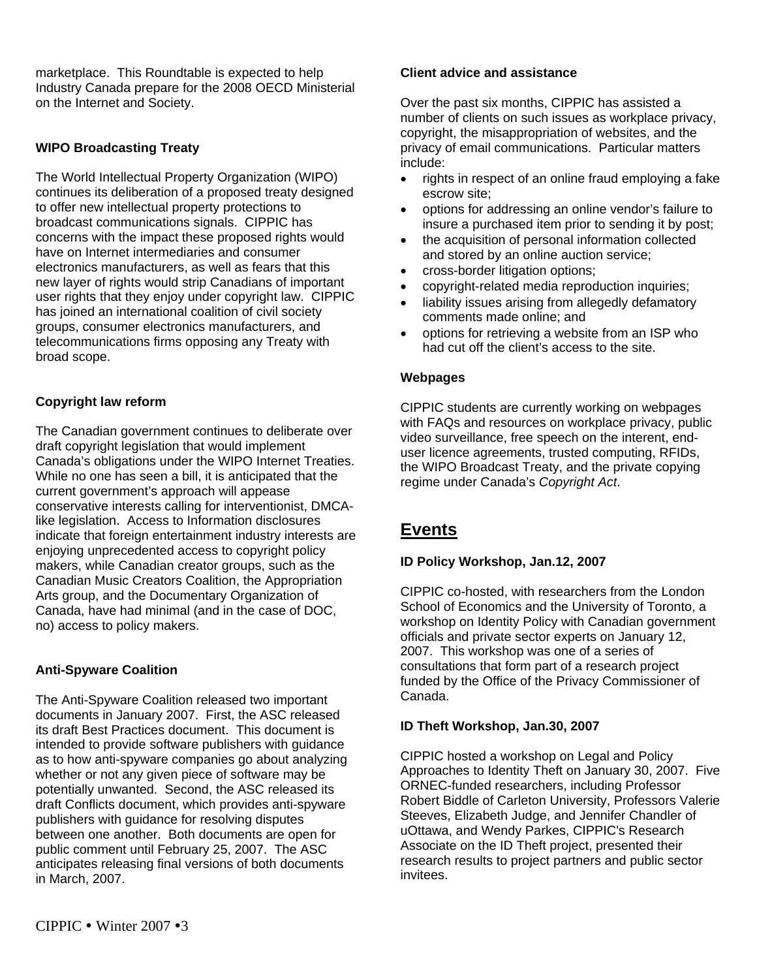marketplace. This Roundtable is expected to help Industry Canada prepare for the 2008 OECD Ministerial on the Internet and Society.

## **WIPO Broadcasting Treaty**

The World Intellectual Property Organization (WIPO) continues its deliberation of a proposed treaty designed to offer new intellectual property protections to broadcast communications signals. CIPPIC has concerns with the impact these proposed rights would have on Internet intermediaries and consumer electronics manufacturers, as well as fears that this new layer of rights would strip Canadians of important user rights that they enjoy under copyright law. CIPPIC has joined an international coalition of civil society groups, consumer electronics manufacturers, and telecommunications firms opposing any Treaty with broad scope.

## **Copyright law reform**

The Canadian government continues to deliberate over draft copyright legislation that would implement Canada's obligations under the WIPO Internet Treaties. While no one has seen a bill, it is anticipated that the current government's approach will appease conservative interests calling for interventionist, DMCAlike legislation. Access to Information disclosures indicate that foreign entertainment industry interests are enjoying unprecedented access to copyright policy makers, while Canadian creator groups, such as the Canadian Music Creators Coalition, the Appropriation Arts group, and the Documentary Organization of Canada, have had minimal (and in the case of DOC, no) access to policy makers.

## **Anti-Spyware Coalition**

The Anti-Spyware Coalition released two important documents in January 2007. First, the ASC released its draft Best Practices document. This document is intended to provide software publishers with guidance as to how anti-spyware companies go about analyzing whether or not any given piece of software may be potentially unwanted. Second, the ASC released its draft Conflicts document, which provides anti-spyware publishers with guidance for resolving disputes between one another. Both documents are open for public comment until February 25, 2007. The ASC anticipates releasing final versions of both documents in March, 2007.

### **Client advice and assistance**

Over the past six months, CIPPIC has assisted a number of clients on such issues as workplace privacy, copyright, the misappropriation of websites, and the privacy of email communications. Particular matters include:

- rights in respect of an online fraud employing a fake escrow site;
- options for addressing an online vendor's failure to insure a purchased item prior to sending it by post;
- the acquisition of personal information collected and stored by an online auction service;
- cross-border litigation options;
- copyright-related media reproduction inquiries;
- liability issues arising from allegedly defamatory comments made online; and
- options for retrieving a website from an ISP who had cut off the client's access to the site.

### **Webpages**

CIPPIC students are currently working on webpages with FAQs and resources on workplace privacy, public video surveillance, free speech on the interent, enduser licence agreements, trusted computing, RFIDs, the WIPO Broadcast Treaty, and the private copying regime under Canada's *Copyright Act*.

# **Events**

### **ID Policy Workshop, Jan.12, 2007**

CIPPIC co-hosted, with researchers from the London School of Economics and the University of Toronto, a workshop on Identity Policy with Canadian government officials and private sector experts on January 12, 2007. This workshop was one of a series of consultations that form part of a research project funded by the Office of the Privacy Commissioner of Canada.

### **ID Theft Workshop, Jan.30, 2007**

CIPPIC hosted a workshop on Legal and Policy Approaches to Identity Theft on January 30, 2007. Five ORNEC-funded researchers, including Professor Robert Biddle of Carleton University, Professors Valerie Steeves, Elizabeth Judge, and Jennifer Chandler of uOttawa, and Wendy Parkes, CIPPIC's Research Associate on the ID Theft project, presented their research results to project partners and public sector invitees.